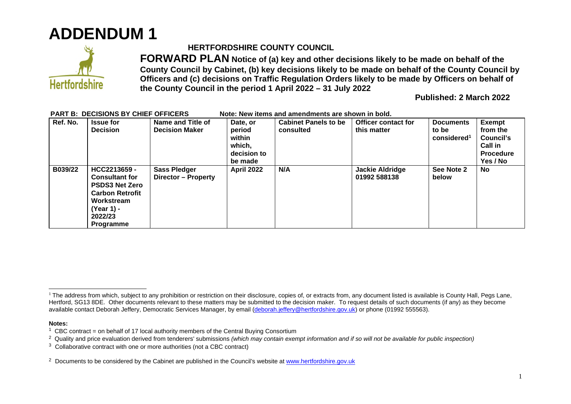## **ADDENDUM 1**



## **HERTFORDSHIRE COUNTY COUNCIL**

**FORWARD PLAN Notice of (a) key and other decisions likely to be made on behalf of the County Council by Cabinet, (b) key decisions likely to be made on behalf of the County Council by Officers and (c) decisions on Traffic Regulation Orders likely to be made by Officers on behalf of the County Council in the period 1 April 2022 – 31 July 2022** 

**Published: 2 March 2022** 

| Ref. No. | <b>Issue for</b><br><b>Decision</b>                                                                                                                 | Name and Title of<br><b>Decision Maker</b>        | Date, or<br>period<br>within<br>which,<br>decision to<br>be made | <b>Cabinet Panels to be</b><br>consulted | <b>Officer contact for</b><br>this matter | <b>Documents</b><br>to be<br>considered <sup>1</sup> | <b>Exempt</b><br>from the<br>Council's<br><b>Call in</b><br><b>Procedure</b><br>Yes / No |
|----------|-----------------------------------------------------------------------------------------------------------------------------------------------------|---------------------------------------------------|------------------------------------------------------------------|------------------------------------------|-------------------------------------------|------------------------------------------------------|------------------------------------------------------------------------------------------|
| B039/22  | HCC2213659 -<br><b>Consultant for</b><br><b>PSDS3 Net Zero</b><br><b>Carbon Retrofit</b><br>Workstream<br>(Year 1) -<br>2022/23<br><b>Programme</b> | <b>Sass Pledger</b><br><b>Director - Property</b> | <b>April 2022</b>                                                | N/A                                      | <b>Jackie Aldridge</b><br>01992 588138    | See Note 2<br>below                                  | <b>No</b>                                                                                |

## **PART B: DECISIONS BY CHIEF OFFICERS Note: New items and amendments are shown in bold.**

**Notes:** 

<sup>&</sup>lt;sup>1</sup> The address from which, subject to any prohibition or restriction on their disclosure, copies of, or extracts from, any document listed is available is County Hall, Pegs Lane, Hertford, SG13 8DE. Other documents relevant to these matters may be submitted to the decision maker. To request details of such documents (if any) as they become available contact Deborah Jeffery, Democratic Services Manager, by email [\(deborah.jeffery@hertfordshire.gov.uk\)](mailto:deborah.jeffery@hertfordshire.gov.uk) or phone (01992 555563).

<sup>&</sup>lt;sup>1</sup> CBC contract = on behalf of 17 local authority members of the Central Buying Consortium

<sup>2</sup> Quality and price evaluation derived from tenderers' submissions *(which may contain exempt information and if so will not be available for public inspection)*

 $3$  Collaborative contract with one or more authorities (not a CBC contract)

<sup>&</sup>lt;sup>2</sup> Documents to be considered by the Cabinet are published in the Council's website at [www.hertfordshire.gov.uk](http://www.hertfordshire.gov.uk/)